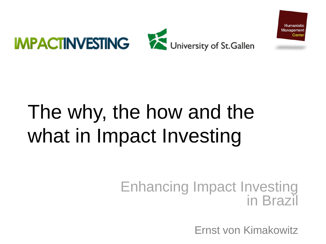

# The why, the how and the what in Impact Investing

### Enhancing Impact Investing in Brazil

Ernst von Kimakowitz

Humanistio Management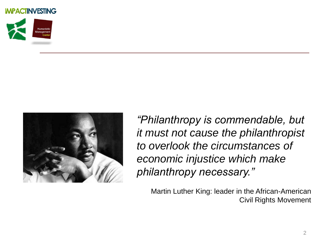



*"Philanthropy is commendable, but it must not cause the philanthropist to overlook the circumstances of economic injustice which make philanthropy necessary."*

Martin Luther King: leader in the African-American Civil Rights Movement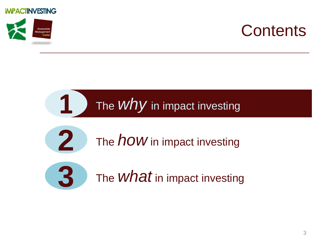



## **Contents**

## The *why* in impact investing



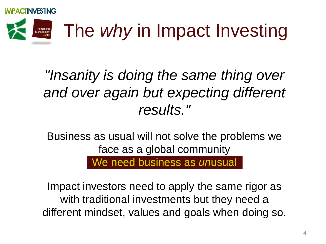



## *"Insanity is doing the same thing over and over again but expecting different results."*

Business as usual will not solve the problems we face as a global community

We need business as *un*usual

Impact investors need to apply the same rigor as with traditional investments but they need a different mindset, values and goals when doing so.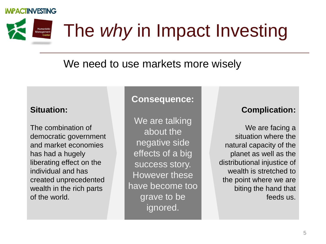Humanistic Management<br>Center

# The *why* in Impact Investing

### We need to use markets more wisely

### **Situation:**

The combination of democratic government and market economies has had a hugely liberating effect on the individual and has created unprecedented wealth in the rich parts of the world.

### **Consequence:**

We are talking about the negative side effects of a big success story. However these have become too grave to be ignored.

### **Complication:**

We are facing a situation where the natural capacity of the planet as well as the distributional injustice of wealth is stretched to the point where we are biting the hand that feeds us.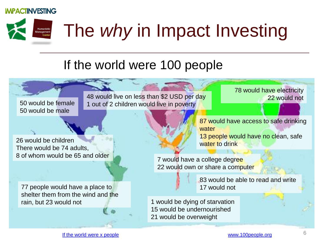Humanistic<br>Management<br>Center

# The *why* in Impact Investing

### If the world were 100 people

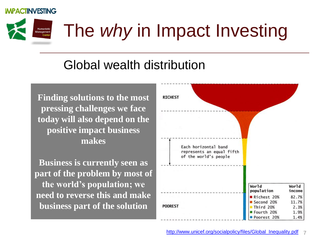

# The *why* in Impact Investing

### Global wealth distribution

**Finding solutions to the most pressing challenges we face today will also depend on the positive impact business makes**

**Business is currently seen as part of the problem by most of the world's population; we need to reverse this and make business part of the solution**

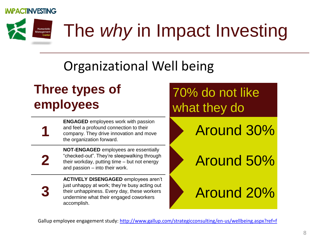Humanistic<br>Management<br>Center

**1**

**2**

**3**

# The *why* in Impact Investing

## Organizational Well being

## **Three types of employees**

**ENGAGED** employees work with passion and feel a profound connection to their company. They drive innovation and move the organization forward.

**NOT-ENGAGED** employees are essentially "checked-out". They're sleepwalking through their workday, putting time – but not energy and passion – into their work.

**ACTIVELY DISENGAGED** employees aren't just unhappy at work; they're busy acting out their unhappiness. Every day, these workers undermine what their engaged coworkers accomplish.

## 70% do not like what they do

Around 30%

Around 50%

Around 20%

Gallup employee engagement study: <http://www.gallup.com/strategicconsulting/en-us/wellbeing.aspx?ref=f>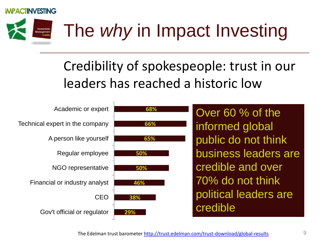### **ACTINVESTING**

Humanistic Management

# The *why* in Impact Investing

## Credibility of spokespeople: trust in our leaders has reached a historic low

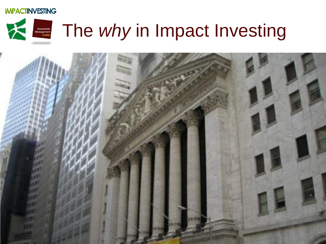### Humanistic<br>Management<br>Center The *why* in Impact Investing

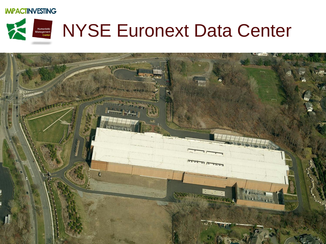

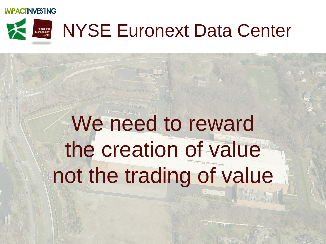

# **NYSE Euronext Data Center**

# We need to reward the creation of value not the trading of value

 $29/0.82/20.08$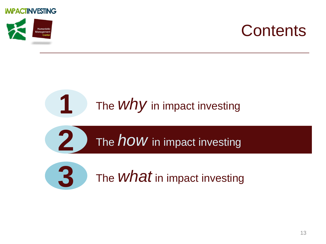



## **Contents**

### The *why* in impact investing **1**

The *how* in impact investing **2** The *how* in impact investing

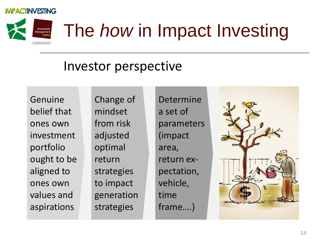

# The *how* in Impact Investing

### Investor perspective

Genuine belief that ones own investment portfolio ought to be aligned to ones own values and aspirations

Change of mindset from risk adjusted optimal return strategies to impact generation strategies

Determine a set of parameters (impact area, return expectation, vehicle, time frame….)

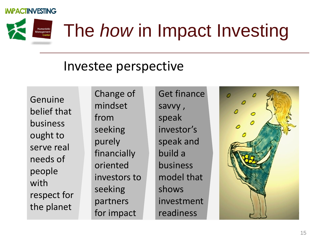

# The *how* in Impact Investing

### Investee perspective

Genuine belief that business ought to serve real needs of people with respect for the planet

Change of mindset from seeking purely financially oriented investors to seeking partners for impact

Get finance savvy , speak investor's speak and build a business model that shows investment readiness

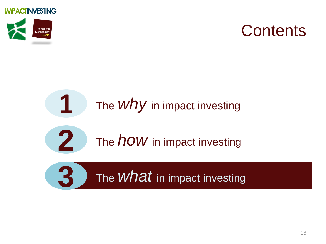



## **Contents**

## The *why* in impact investing The *how* in impact investing The  $\emph{what}$  in impact investing **1 2 3**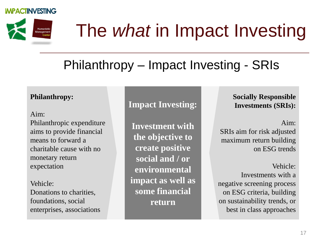

# The *what* in Impact Investing

## Philanthropy – Impact Investing - SRIs

### **Philanthropy:**

#### Aim:

Philanthropic expenditure aims to provide financial means to forward a charitable cause with no monetary return expectation

#### Vehicle: Donations to charities, foundations, social enterprises, associations

**Impact Investing:**

**Investment with the objective to create positive social and / or environmental impact as well as some financial return**

**Socially Responsible Investments (SRIs):**

Aim:

SRIs aim for risk adjusted maximum return building on ESG trends

Vehicle:

Investments with a negative screening process on ESG criteria, building on sustainability trends, or best in class approaches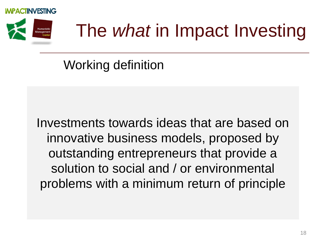



# The *what* in Impact Investing

## Working definition

Investments towards ideas that are based on innovative business models, proposed by outstanding entrepreneurs that provide a solution to social and / or environmental problems with a minimum return of principle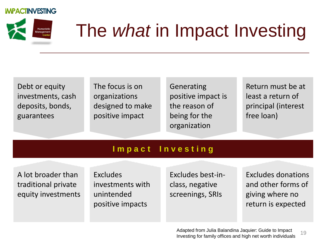

# The *what* in Impact Investing

Debt or equity investments, cash deposits, bonds, guarantees

The focus is on organizations designed to make positive impact

Generating positive impact is the reason of being for the organization

Return must be at least a return of principal (interest free loan)

### **I m p a c t I n v e s t i n g**

A lot broader than traditional private equity investments Excludes investments with unintended positive impacts

Excludes best-inclass, negative screenings, SRIs

Excludes donations and other forms of giving where no return is expected

19 Adapted from Julia Balandina Jaquier: Guide to Impact Investing for family offices and high net worth individuals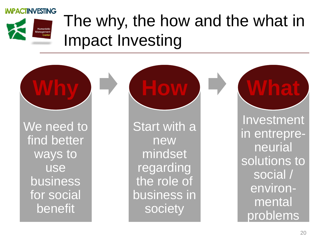

## The why, the how and the what in Impact Investing

We need to find better ways to use business for social benefit

**Why**

**Start with a** new mindset regarding the role of business in society

**How**

Investment in entrepreneurial solutions to social / environmental problems

**What**